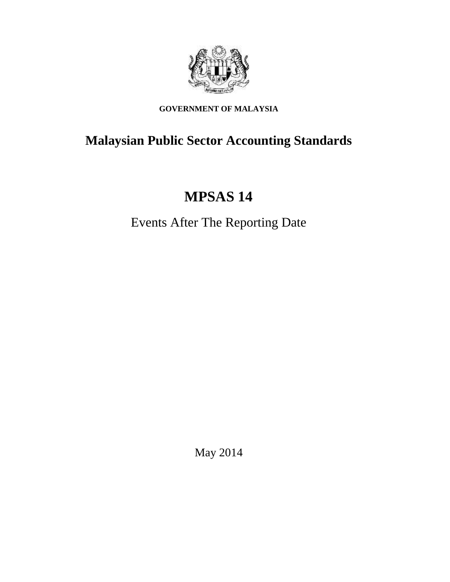

# **GOVERNMENT OF MALAYSIA**

# **Malaysian Public Sector Accounting Standards**

# **MPSAS 14**

Events After The Reporting Date

May 2014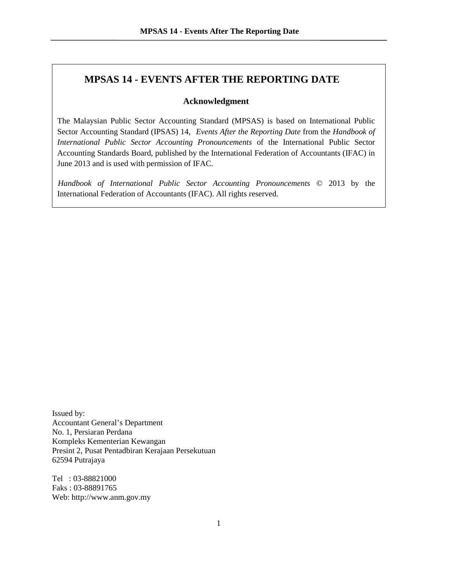# **MPSAS 14 - EVENTS AFTER THE REPORTING DATE**

#### **Acknowledgment**

The Malaysian Public Sector Accounting Standard (MPSAS) is based on International Public Sector Accounting Standard (IPSAS) 14, *Events After the Reporting Date* from the *Handbook of International Public Sector Accounting Pronouncements* of the International Public Sector Accounting Standards Board, published by the International Federation of Accountants (IFAC) in June 2013 and is used with permission of IFAC.

*Handbook of International Public Sector Accounting Pronouncements* © 2013 by the International Federation of Accountants (IFAC). All rights reserved.

Issued by: Accountant General's Department No. 1, Persiaran Perdana Kompleks Kementerian Kewangan Presint 2, Pusat Pentadbiran Kerajaan Persekutuan 62594 Putrajaya

Tel : 03-88821000 Faks : 03-88891765 Web: http://www.anm.gov.my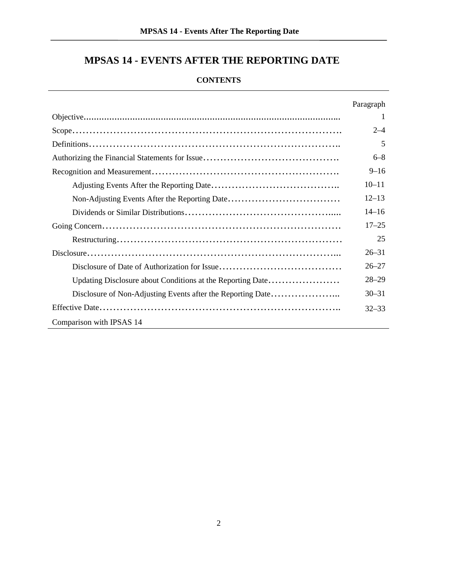# **MPSAS 14 - EVENTS AFTER THE REPORTING DATE**

## **CONTENTS**

|                                                             | Paragraph |  |
|-------------------------------------------------------------|-----------|--|
|                                                             |           |  |
|                                                             | $2 - 4$   |  |
|                                                             | 5         |  |
|                                                             | $6 - 8$   |  |
|                                                             | $9 - 16$  |  |
|                                                             | $10 - 11$ |  |
|                                                             | $12 - 13$ |  |
|                                                             | $14 - 16$ |  |
|                                                             | $17 - 25$ |  |
|                                                             | 25        |  |
|                                                             | $26 - 31$ |  |
|                                                             | $26 - 27$ |  |
| Updating Disclosure about Conditions at the Reporting Date  | $28 - 29$ |  |
| Disclosure of Non-Adjusting Events after the Reporting Date | $30 - 31$ |  |
|                                                             | $32 - 33$ |  |
| Comparison with IPSAS 14                                    |           |  |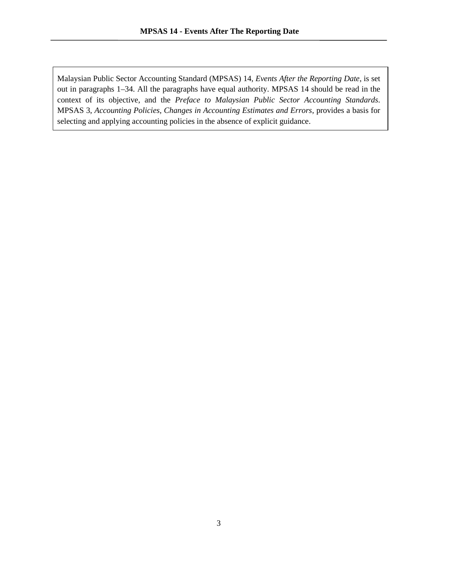Malaysian Public Sector Accounting Standard (MPSAS) 14, *Events After the Reporting Date*, is set out in paragraphs 1–34. All the paragraphs have equal authority. MPSAS 14 should be read in the context of its objective, and the *Preface to Malaysian Public Sector Accounting Standards*. MPSAS 3, *Accounting Policies, Changes in Accounting Estimates and Errors*, provides a basis for selecting and applying accounting policies in the absence of explicit guidance.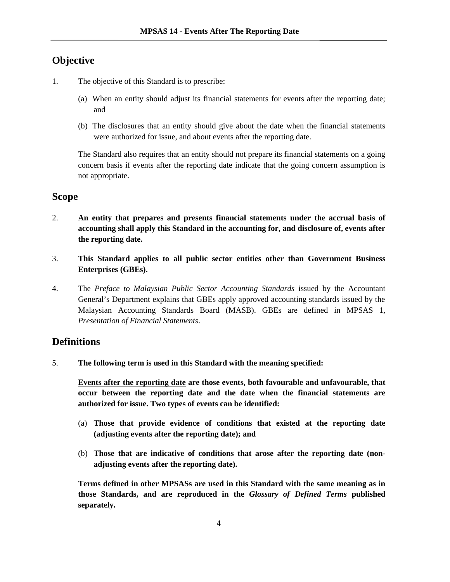# **Objective**

- 1. The objective of this Standard is to prescribe:
	- (a) When an entity should adjust its financial statements for events after the reporting date; and
	- (b) The disclosures that an entity should give about the date when the financial statements were authorized for issue, and about events after the reporting date.

The Standard also requires that an entity should not prepare its financial statements on a going concern basis if events after the reporting date indicate that the going concern assumption is not appropriate.

## **Scope**

- 2. **An entity that prepares and presents financial statements under the accrual basis of accounting shall apply this Standard in the accounting for, and disclosure of, events after the reporting date.**
- 3. **This Standard applies to all public sector entities other than Government Business Enterprises (GBEs).**
- 4. The *Preface to Malaysian Public Sector Accounting Standards* issued by the Accountant General's Department explains that GBEs apply approved accounting standards issued by the Malaysian Accounting Standards Board (MASB). GBEs are defined in MPSAS 1, *Presentation of Financial Statements*.

## **Definitions**

5. **The following term is used in this Standard with the meaning specified:**

**Events after the reporting date are those events, both favourable and unfavourable, that occur between the reporting date and the date when the financial statements are authorized for issue. Two types of events can be identified:**

- (a) **Those that provide evidence of conditions that existed at the reporting date (adjusting events after the reporting date); and**
- (b) **Those that are indicative of conditions that arose after the reporting date (non adjusting events after the reporting date).**

**Terms defined in other MPSASs are used in this Standard with the same meaning as in those Standards, and are reproduced in the** *Glossary of Defined Terms* **published separately.**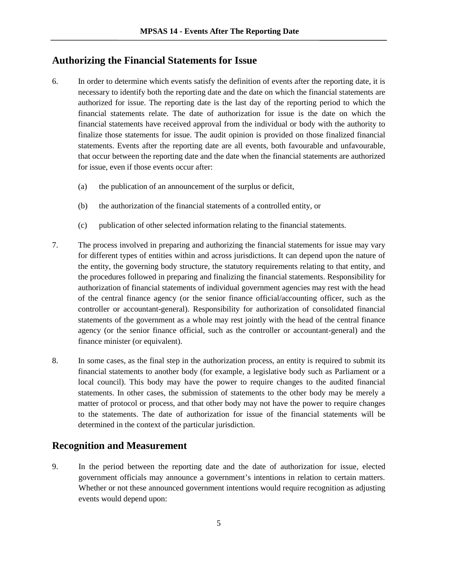## **Authorizing the Financial Statements for Issue**

- 6. In order to determine which events satisfy the definition of events after the reporting date, it is necessary to identify both the reporting date and the date on which the financial statements are authorized for issue. The reporting date is the last day of the reporting period to which the financial statements relate. The date of authorization for issue is the date on which the financial statements have received approval from the individual or body with the authority to finalize those statements for issue. The audit opinion is provided on those finalized financial statements. Events after the reporting date are all events, both favourable and unfavourable, that occur between the reporting date and the date when the financial statements are authorized for issue, even if those events occur after:
	- (a) the publication of an announcement of the surplus or deficit,
	- (b) the authorization of the financial statements of a controlled entity, or
	- (c) publication of other selected information relating to the financial statements.
- 7. The process involved in preparing and authorizing the financial statements for issue may vary for different types of entities within and across jurisdictions. It can depend upon the nature of the entity, the governing body structure, the statutory requirements relating to that entity, and the procedures followed in preparing and finalizing the financial statements. Responsibility for authorization of financial statements of individual government agencies may rest with the head of the central finance agency (or the senior finance official/accounting officer, such as the controller or accountant-general). Responsibility for authorization of consolidated financial statements of the government as a whole may rest jointly with the head of the central finance agency (or the senior finance official, such as the controller or accountant-general) and the finance minister (or equivalent).
- 8. In some cases, as the final step in the authorization process, an entity is required to submit its financial statements to another body (for example, a legislative body such as Parliament or a local council). This body may have the power to require changes to the audited financial statements. In other cases, the submission of statements to the other body may be merely a matter of protocol or process, and that other body may not have the power to require changes to the statements. The date of authorization for issue of the financial statements will be determined in the context of the particular jurisdiction.

# **Recognition and Measurement**

9. In the period between the reporting date and the date of authorization for issue, elected government officials may announce a government's intentions in relation to certain matters. Whether or not these announced government intentions would require recognition as adjusting events would depend upon: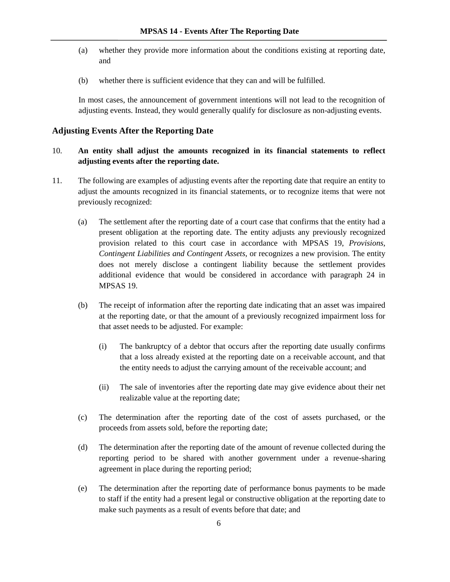- (a) whether they provide more information about the conditions existing at reporting date, and
- (b) whether there is sufficient evidence that they can and will be fulfilled.

In most cases, the announcement of government intentions will not lead to the recognition of adjusting events. Instead, they would generally qualify for disclosure as non-adjusting events.

#### **Adjusting Events After the Reporting Date**

## 10. **An entity shall adjust the amounts recognized in its financial statements to reflect adjusting events after the reporting date.**

- 11. The following are examples of adjusting events after the reporting date that require an entity to adjust the amounts recognized in its financial statements, or to recognize items that were not previously recognized:
	- (a) The settlement after the reporting date of a court case that confirms that the entity had a present obligation at the reporting date. The entity adjusts any previously recognized provision related to this court case in accordance with MPSAS 19, *Provisions, Contingent Liabilities and Contingent Assets*, or recognizes a new provision. The entity does not merely disclose a contingent liability because the settlement provides additional evidence that would be considered in accordance with paragraph 24 in MPSAS 19.
	- (b) The receipt of information after the reporting date indicating that an asset was impaired at the reporting date, or that the amount of a previously recognized impairment loss for that asset needs to be adjusted. For example:
		- (i) The bankruptcy of a debtor that occurs after the reporting date usually confirms that a loss already existed at the reporting date on a receivable account, and that the entity needs to adjust the carrying amount of the receivable account; and
		- (ii) The sale of inventories after the reporting date may give evidence about their net realizable value at the reporting date;
	- (c) The determination after the reporting date of the cost of assets purchased, or the proceeds from assets sold, before the reporting date;
	- (d) The determination after the reporting date of the amount of revenue collected during the reporting period to be shared with another government under a revenue-sharing agreement in place during the reporting period;
	- (e) The determination after the reporting date of performance bonus payments to be made to staff if the entity had a present legal or constructive obligation at the reporting date to make such payments as a result of events before that date; and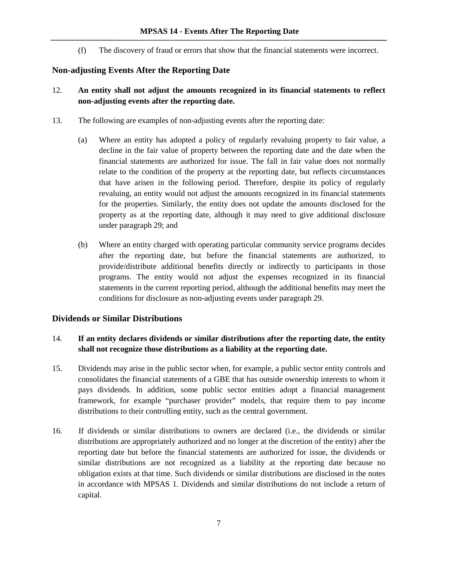(f) The discovery of fraud or errors that show that the financial statements were incorrect.

#### **Non-adjusting Events After the Reporting Date**

- 12. **An entity shall not adjust the amounts recognized in its financial statements to reflect non-adjusting events after the reporting date.**
- 13. The following are examples of non-adjusting events after the reporting date:
	- (a) Where an entity has adopted a policy of regularly revaluing property to fair value, a decline in the fair value of property between the reporting date and the date when the financial statements are authorized for issue. The fall in fair value does not normally relate to the condition of the property at the reporting date, but reflects circumstances that have arisen in the following period. Therefore, despite its policy of regularly revaluing, an entity would not adjust the amounts recognized in its financial statements for the properties. Similarly, the entity does not update the amounts disclosed for the property as at the reporting date, although it may need to give additional disclosure under paragraph 29; and
	- (b) Where an entity charged with operating particular community service programs decides after the reporting date, but before the financial statements are authorized, to provide/distribute additional benefits directly or indirectly to participants in those programs. The entity would not adjust the expenses recognized in its financial statements in the current reporting period, although the additional benefits may meet the conditions for disclosure as non-adjusting events under paragraph 29.

#### **Dividends or Similar Distributions**

#### 14. **If an entity declares dividends or similar distributions after the reporting date, the entity shall not recognize those distributions as a liability at the reporting date.**

- 15. Dividends may arise in the public sector when, for example, a public sector entity controls and consolidates the financial statements of a GBE that has outside ownership interests to whom it pays dividends. In addition, some public sector entities adopt a financial management framework, for example "purchaser provider" models, that require them to pay income distributions to their controlling entity, such as the central government.
- 16. If dividends or similar distributions to owners are declared (i.e., the dividends or similar distributions are appropriately authorized and no longer at the discretion of the entity) after the reporting date but before the financial statements are authorized for issue, the dividends or similar distributions are not recognized as a liability at the reporting date because no obligation exists at that time. Such dividends or similar distributions are disclosed in the notes in accordance with MPSAS 1. Dividends and similar distributions do not include a return of capital.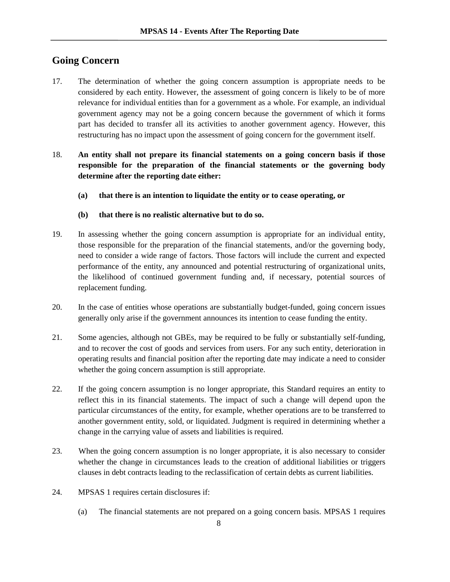# **Going Concern**

- 17. The determination of whether the going concern assumption is appropriate needs to be considered by each entity. However, the assessment of going concern is likely to be of more relevance for individual entities than for a government as a whole. For example, an individual government agency may not be a going concern because the government of which it forms part has decided to transfer all its activities to another government agency. However, this restructuring has no impact upon the assessment of going concern for the government itself.
- 18. **An entity shall not prepare its financial statements on a going concern basis if those responsible for the preparation of the financial statements or the governing body determine after the reporting date either:**
	- **(a) that there is an intention to liquidate the entity or to cease operating, or**
	- **(b) that there is no realistic alternative but to do so.**
- 19. In assessing whether the going concern assumption is appropriate for an individual entity, those responsible for the preparation of the financial statements, and/or the governing body, need to consider a wide range of factors. Those factors will include the current and expected performance of the entity, any announced and potential restructuring of organizational units, the likelihood of continued government funding and, if necessary, potential sources of replacement funding.
- 20. In the case of entities whose operations are substantially budget-funded, going concern issues generally only arise if the government announces its intention to cease funding the entity.
- 21. Some agencies, although not GBEs, may be required to be fully or substantially self-funding, and to recover the cost of goods and services from users. For any such entity, deterioration in operating results and financial position after the reporting date may indicate a need to consider whether the going concern assumption is still appropriate.
- 22. If the going concern assumption is no longer appropriate, this Standard requires an entity to reflect this in its financial statements. The impact of such a change will depend upon the particular circumstances of the entity, for example, whether operations are to be transferred to another government entity, sold, or liquidated. Judgment is required in determining whether a change in the carrying value of assets and liabilities is required.
- 23. When the going concern assumption is no longer appropriate, it is also necessary to consider whether the change in circumstances leads to the creation of additional liabilities or triggers clauses in debt contracts leading to the reclassification of certain debts as current liabilities.
- 24. MPSAS 1 requires certain disclosures if:
	- (a) The financial statements are not prepared on a going concern basis. MPSAS 1 requires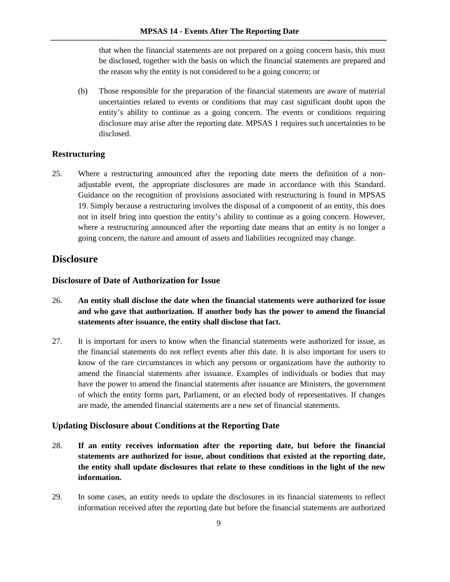that when the financial statements are not prepared on a going concern basis, this must be disclosed, together with the basis on which the financial statements are prepared and the reason why the entity is not considered to be a going concern; or

(b) Those responsible for the preparation of the financial statements are aware of material uncertainties related to events or conditions that may cast significant doubt upon the entity's ability to continue as a going concern. The events or conditions requiring disclosure may arise after the reporting date. MPSAS 1 requires such uncertainties to be disclosed.

#### **Restructuring**

25. Where a restructuring announced after the reporting date meets the definition of a non adjustable event, the appropriate disclosures are made in accordance with this Standard. Guidance on the recognition of provisions associated with restructuring is found in MPSAS 19. Simply because a restructuring involves the disposal of a component of an entity, this does not in itself bring into question the entity's ability to continue as a going concern. However, where a restructuring announced after the reporting date means that an entity is no longer a going concern, the nature and amount of assets and liabilities recognized may change.

## **Disclosure**

#### **Disclosure of Date of Authorization for Issue**

- 26. **An entity shall disclose the date when the financial statements were authorized for issue and who gave that authorization. If another body has the power to amend the financial statements after issuance, the entity shall disclose that fact.**
- 27. It is important for users to know when the financial statements were authorized for issue, as the financial statements do not reflect events after this date. It is also important for users to know of the rare circumstances in which any persons or organizations have the authority to amend the financial statements after issuance. Examples of individuals or bodies that may have the power to amend the financial statements after issuance are Ministers, the government of which the entity forms part, Parliament, or an elected body of representatives. If changes are made, the amended financial statements are a new set of financial statements.

#### **Updating Disclosure about Conditions at the Reporting Date**

- 28. **If an entity receives information after the reporting date, but before the financial statements are authorized for issue, about conditions that existed at the reporting date, the entity shall update disclosures that relate to these conditions in the light of the new information.**
- 29. In some cases, an entity needs to update the disclosures in its financial statements to reflect information received after the reporting date but before the financial statements are authorized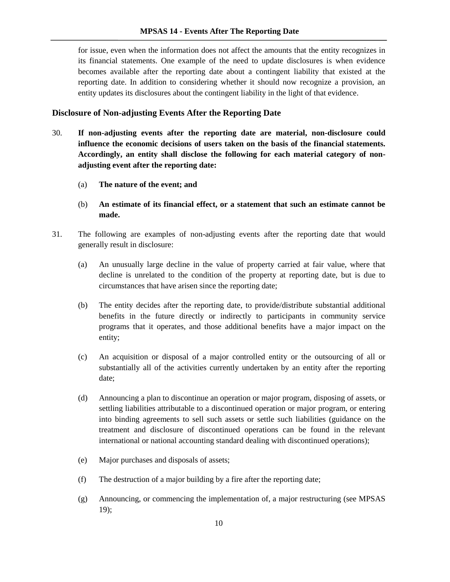for issue, even when the information does not affect the amounts that the entity recognizes in its financial statements. One example of the need to update disclosures is when evidence becomes available after the reporting date about a contingent liability that existed at the reporting date. In addition to considering whether it should now recognize a provision, an entity updates its disclosures about the contingent liability in the light of that evidence.

#### **Disclosure of Non-adjusting Events After the Reporting Date**

- 30. **If non-adjusting events after the reporting date are material, non-disclosure could influence the economic decisions of users taken on the basis of the financial statements. Accordingly, an entity shall disclose the following for each material category of non adjusting event after the reporting date:**
	- (a) **The nature of the event; and**
	- (b) **An estimate of its financial effect, or a statement that such an estimate cannot be made.**
- 31. The following are examples of non-adjusting events after the reporting date that would generally result in disclosure:
	- (a) An unusually large decline in the value of property carried at fair value, where that decline is unrelated to the condition of the property at reporting date, but is due to circumstances that have arisen since the reporting date;
	- (b) The entity decides after the reporting date, to provide/distribute substantial additional benefits in the future directly or indirectly to participants in community service programs that it operates, and those additional benefits have a major impact on the entity;
	- (c) An acquisition or disposal of a major controlled entity or the outsourcing of all or substantially all of the activities currently undertaken by an entity after the reporting date;
	- (d) Announcing a plan to discontinue an operation or major program, disposing of assets, or settling liabilities attributable to a discontinued operation or major program, or entering into binding agreements to sell such assets or settle such liabilities (guidance on the treatment and disclosure of discontinued operations can be found in the relevant international or national accounting standard dealing with discontinued operations);
	- (e) Major purchases and disposals of assets;
	- (f) The destruction of a major building by a fire after the reporting date;
	- (g) Announcing, or commencing the implementation of, a major restructuring (see MPSAS 19);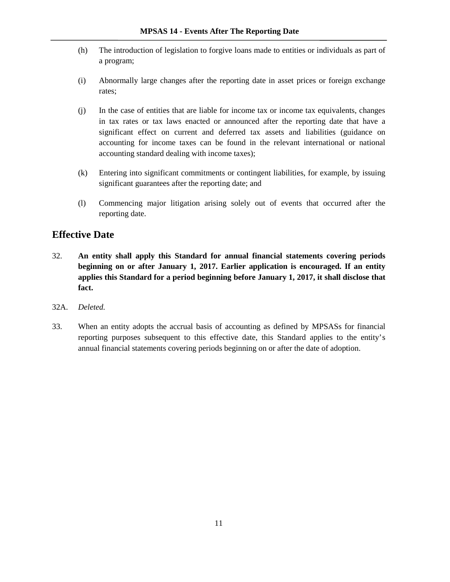- (h) The introduction of legislation to forgive loans made to entities or individuals as part of a program;
- (i) Abnormally large changes after the reporting date in asset prices or foreign exchange rates;
- (j) In the case of entities that are liable for income tax or income tax equivalents, changes in tax rates or tax laws enacted or announced after the reporting date that have a significant effect on current and deferred tax assets and liabilities (guidance on accounting for income taxes can be found in the relevant international or national accounting standard dealing with income taxes);
- (k) Entering into significant commitments or contingent liabilities, for example, by issuing significant guarantees after the reporting date; and
- (l) Commencing major litigation arising solely out of events that occurred after the reporting date.

## **Effective Date**

- 32. **An entity shall apply this Standard for annual financial statements covering periods beginning on or after January 1, 2017. Earlier application is encouraged. If an entity applies this Standard for a period beginning before January 1, 2017, it shall disclose that fact.**
- 32A. *Deleted.*
- 33. When an entity adopts the accrual basis of accounting as defined by MPSASs for financial reporting purposes subsequent to this effective date, this Standard applies to the entity's annual financial statements covering periods beginning on or after the date of adoption.